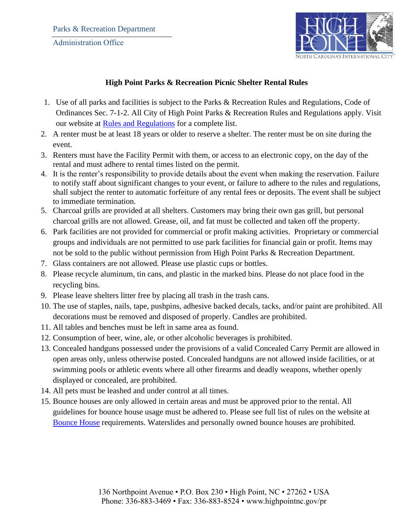

## **High Point Parks & Recreation Picnic Shelter Rental Rules**

- 1. Use of all parks and facilities is subject to the Parks & Recreation Rules and Regulations, Code of Ordinances Sec. 7-1-2. All City of High Point Parks & Recreation Rules and Regulations apply. Visit our website at [Rules and Regulations](https://www.highpointnc.gov/DocumentCenter/View/11628/Parks--Recreation-Rules-and-Regulations-) for a complete list.
- 2. A renter must be at least 18 years or older to reserve a shelter. The renter must be on site during the event.
- 3. Renters must have the Facility Permit with them, or access to an electronic copy, on the day of the rental and must adhere to rental times listed on the permit.
- 4. It is the renter's responsibility to provide details about the event when making the reservation. Failure to notify staff about significant changes to your event, or failure to adhere to the rules and regulations, shall subject the renter to automatic forfeiture of any rental fees or deposits. The event shall be subject to immediate termination.
- 5. Charcoal grills are provided at all shelters. Customers may bring their own gas grill, but personal charcoal grills are not allowed. Grease, oil, and fat must be collected and taken off the property.
- 6. Park facilities are not provided for commercial or profit making activities. Proprietary or commercial groups and individuals are not permitted to use park facilities for financial gain or profit. Items may not be sold to the public without permission from High Point Parks & Recreation Department.
- 7. Glass containers are not allowed. Please use plastic cups or bottles.
- 8. Please recycle aluminum, tin cans, and plastic in the marked bins. Please do not place food in the recycling bins.
- 9. Please leave shelters litter free by placing all trash in the trash cans.
- 10. The use of staples, nails, tape, pushpins, adhesive backed decals, tacks, and/or paint are prohibited. All decorations must be removed and disposed of properly. Candles are prohibited.
- 11. All tables and benches must be left in same area as found.
- 12. Consumption of beer, wine, ale, or other alcoholic beverages is prohibited.
- 13. Concealed handguns possessed under the provisions of a valid Concealed Carry Permit are allowed in open areas only, unless otherwise posted. Concealed handguns are not allowed inside facilities, or at swimming pools or athletic events where all other firearms and deadly weapons, whether openly displayed or concealed, are prohibited.
- 14. All pets must be leashed and under control at all times.
- 15. Bounce houses are only allowed in certain areas and must be approved prior to the rental. All guidelines for bounce house usage must be adhered to. Please see full list of rules on the website at [Bounce House](https://www.highpointnc.gov/DocumentCenter/View/8498/Bounce-House-Handout) requirements. Waterslides and personally owned bounce houses are prohibited.